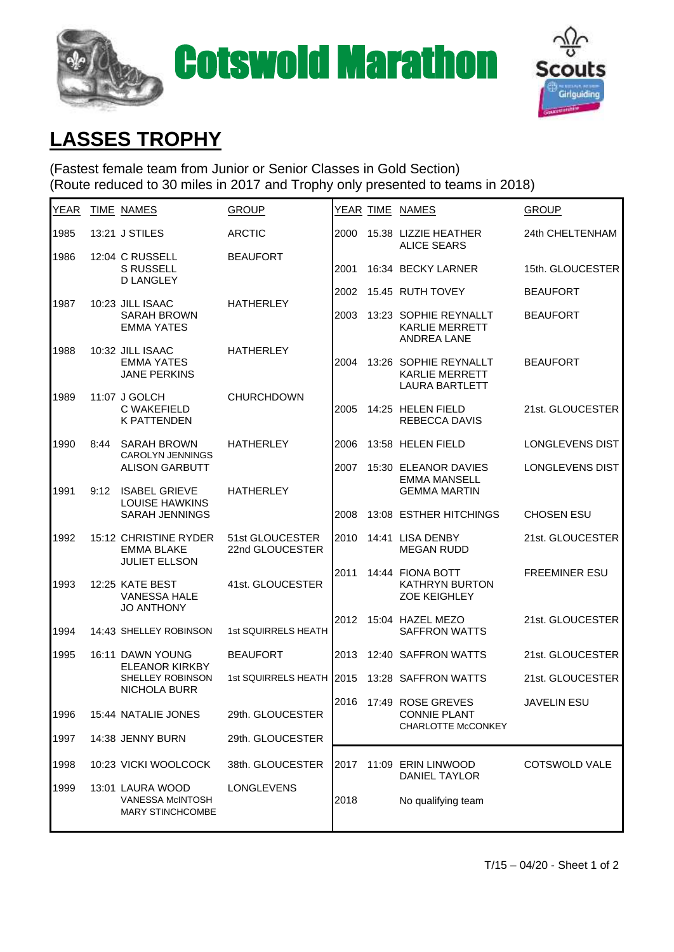



## **LASSES TROPHY**

(Fastest female team from Junior or Senior Classes in Gold Section) (Route reduced to 30 miles in 2017 and Trophy only presented to teams in 2018)

| YEAR |      | TIME NAMES                                                             | <b>GROUP</b>                       |      | YEAR TIME NAMES                                                         | <b>GROUP</b>         |
|------|------|------------------------------------------------------------------------|------------------------------------|------|-------------------------------------------------------------------------|----------------------|
| 1985 |      | 13:21 J STILES                                                         | <b>ARCTIC</b>                      | 2000 | 15.38 LIZZIE HEATHER<br><b>ALICE SEARS</b>                              | 24th CHELTENHAM      |
| 1986 |      | 12:04 C RUSSELL<br><b>S RUSSELL</b>                                    | <b>BEAUFORT</b>                    | 2001 | 16:34 BECKY LARNER                                                      | 15th. GLOUCESTER     |
|      |      | <b>D LANGLEY</b>                                                       |                                    | 2002 | 15.45 RUTH TOVEY                                                        | <b>BEAUFORT</b>      |
| 1987 |      | 10:23 JILL ISAAC<br><b>SARAH BROWN</b><br><b>EMMA YATES</b>            | <b>HATHERLEY</b>                   | 2003 | 13:23 SOPHIE REYNALLT<br><b>KARLIE MERRETT</b><br><b>ANDREA LANE</b>    | <b>BEAUFORT</b>      |
| 1988 |      | 10:32 JILL ISAAC<br><b>EMMA YATES</b><br><b>JANE PERKINS</b>           | <b>HATHERLEY</b>                   | 2004 | 13:26 SOPHIE REYNALLT<br><b>KARLIE MERRETT</b><br><b>LAURA BARTLETT</b> | <b>BEAUFORT</b>      |
| 1989 |      | 11:07 J GOLCH<br>C WAKEFIELD<br><b>K PATTENDEN</b>                     | <b>CHURCHDOWN</b>                  | 2005 | 14:25 HELEN FIELD<br><b>REBECCA DAVIS</b>                               | 21st. GLOUCESTER     |
| 1990 | 8:44 | <b>SARAH BROWN</b><br><b>CAROLYN JENNINGS</b>                          | <b>HATHERLEY</b>                   | 2006 | 13:58 HELEN FIELD                                                       | LONGLEVENS DIST      |
|      |      | <b>ALISON GARBUTT</b>                                                  |                                    | 2007 | 15:30 ELEANOR DAVIES<br><b>EMMA MANSELL</b>                             | LONGLEVENS DIST      |
| 1991 | 9:12 | <b>ISABEL GRIEVE</b><br><b>LOUISE HAWKINS</b>                          | <b>HATHERLEY</b>                   |      | <b>GEMMA MARTIN</b>                                                     |                      |
|      |      | <b>SARAH JENNINGS</b>                                                  |                                    | 2008 | 13:08 ESTHER HITCHINGS                                                  | <b>CHOSEN ESU</b>    |
| 1992 |      | 15:12 CHRISTINE RYDER<br><b>EMMA BLAKE</b><br><b>JULIET ELLSON</b>     | 51st GLOUCESTER<br>22nd GLOUCESTER | 2010 | 14:41 LISA DENBY<br><b>MEGAN RUDD</b>                                   | 21st. GLOUCESTER     |
| 1993 |      | 12:25 KATE BEST<br><b>VANESSA HALE</b><br><b>JO ANTHONY</b>            | 41st. GLOUCESTER                   | 2011 | 14:44 FIONA BOTT<br><b>KATHRYN BURTON</b><br><b>ZOE KEIGHLEY</b>        | <b>FREEMINER ESU</b> |
| 1994 |      | 14:43 SHELLEY ROBINSON                                                 | 1st SQUIRRELS HEATH                | 2012 | 15:04 HAZEL MEZO<br><b>SAFFRON WATTS</b>                                | 21st. GLOUCESTER     |
| 1995 |      | 16:11 DAWN YOUNG                                                       | <b>BEAUFORT</b>                    | 2013 | 12:40 SAFFRON WATTS                                                     | 21st. GLOUCESTER     |
|      |      | <b>ELEANOR KIRKBY</b><br>SHELLEY ROBINSON<br><b>NICHOLA BURR</b>       | 1st SQUIRRELS HEATH 2015           |      | 13:28 SAFFRON WATTS                                                     | 21st. GLOUCESTER     |
| 1996 |      | 15:44 NATALIE JONES                                                    | 29th. GLOUCESTER                   |      | 2016 17:49 ROSE GREVES<br><b>CONNIE PLANT</b>                           | <b>JAVELIN ESU</b>   |
| 1997 |      | 14:38 JENNY BURN                                                       | 29th. GLOUCESTER                   |      | CHARLOTTE McCONKEY                                                      |                      |
| 1998 |      | 10:23 VICKI WOOLCOCK                                                   | 38th. GLOUCESTER                   | 2017 | 11:09 ERIN LINWOOD<br><b>DANIEL TAYLOR</b>                              | <b>COTSWOLD VALE</b> |
| 1999 |      | 13:01 LAURA WOOD<br><b>VANESSA McINTOSH</b><br><b>MARY STINCHCOMBE</b> | LONGLEVENS                         | 2018 | No qualifying team                                                      |                      |